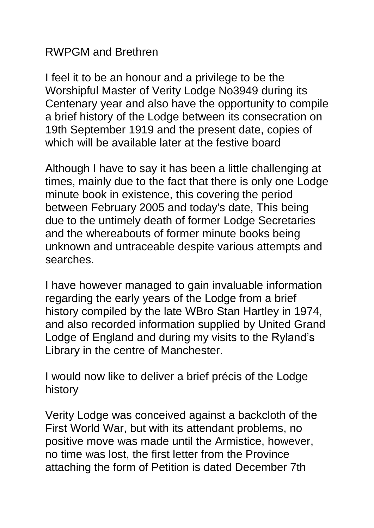## RWPGM and Brethren

I feel it to be an honour and a privilege to be the Worshipful Master of Verity Lodge No3949 during its Centenary year and also have the opportunity to compile a brief history of the Lodge between its consecration on 19th September 1919 and the present date, copies of which will be available later at the festive board

Although I have to say it has been a little challenging at times, mainly due to the fact that there is only one Lodge minute book in existence, this covering the period between February 2005 and today's date, This being due to the untimely death of former Lodge Secretaries and the whereabouts of former minute books being unknown and untraceable despite various attempts and searches.

I have however managed to gain invaluable information regarding the early years of the Lodge from a brief history compiled by the late WBro Stan Hartley in 1974, and also recorded information supplied by United Grand Lodge of England and during my visits to the Ryland's Library in the centre of Manchester.

I would now like to deliver a brief précis of the Lodge history

Verity Lodge was conceived against a backcloth of the First World War, but with its attendant problems, no positive move was made until the Armistice, however, no time was lost, the first letter from the Province attaching the form of Petition is dated December 7th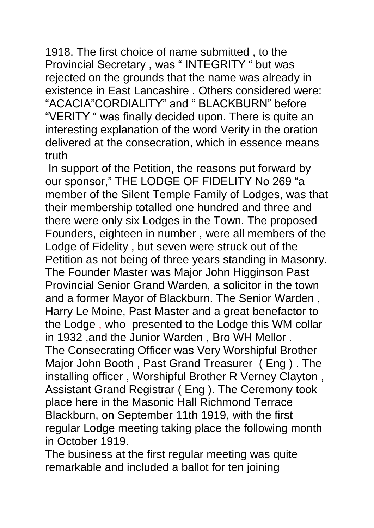1918. The first choice of name submitted , to the Provincial Secretary , was " INTEGRITY " but was rejected on the grounds that the name was already in existence in East Lancashire . Others considered were: "ACACIA"CORDIALITY" and " BLACKBURN" before "VERITY " was finally decided upon. There is quite an interesting explanation of the word Verity in the oration delivered at the consecration, which in essence means truth

In support of the Petition, the reasons put forward by our sponsor," THE LODGE OF FIDELITY No 269 "a member of the Silent Temple Family of Lodges, was that their membership totalled one hundred and three and there were only six Lodges in the Town. The proposed Founders, eighteen in number , were all members of the Lodge of Fidelity , but seven were struck out of the Petition as not being of three years standing in Masonry. The Founder Master was Major John Higginson Past Provincial Senior Grand Warden, a solicitor in the town and a former Mayor of Blackburn. The Senior Warden , Harry Le Moine, Past Master and a great benefactor to the Lodge , who presented to the Lodge this WM collar in 1932 ,and the Junior Warden , Bro WH Mellor . The Consecrating Officer was Very Worshipful Brother Major John Booth , Past Grand Treasurer ( Eng ) . The installing officer , Worshipful Brother R Verney Clayton , Assistant Grand Registrar ( Eng ). The Ceremony took place here in the Masonic Hall Richmond Terrace Blackburn, on September 11th 1919, with the first regular Lodge meeting taking place the following month in October 1919.

The business at the first regular meeting was quite remarkable and included a ballot for ten joining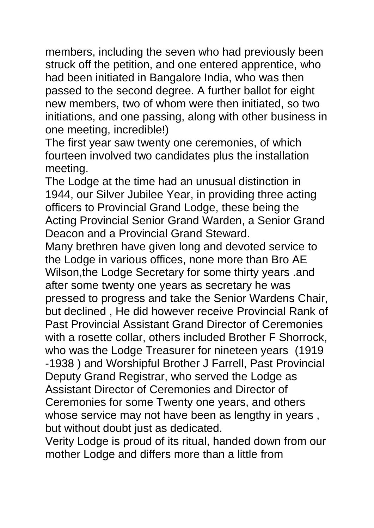members, including the seven who had previously been struck off the petition, and one entered apprentice, who had been initiated in Bangalore India, who was then passed to the second degree. A further ballot for eight new members, two of whom were then initiated, so two initiations, and one passing, along with other business in one meeting, incredible!)

The first year saw twenty one ceremonies, of which fourteen involved two candidates plus the installation meeting.

The Lodge at the time had an unusual distinction in 1944, our Silver Jubilee Year, in providing three acting officers to Provincial Grand Lodge, these being the Acting Provincial Senior Grand Warden, a Senior Grand Deacon and a Provincial Grand Steward.

Many brethren have given long and devoted service to the Lodge in various offices, none more than Bro AE Wilson,the Lodge Secretary for some thirty years .and after some twenty one years as secretary he was pressed to progress and take the Senior Wardens Chair, but declined , He did however receive Provincial Rank of Past Provincial Assistant Grand Director of Ceremonies with a rosette collar, others included Brother F Shorrock, who was the Lodge Treasurer for nineteen years (1919 -1938 ) and Worshipful Brother J Farrell, Past Provincial Deputy Grand Registrar, who served the Lodge as Assistant Director of Ceremonies and Director of Ceremonies for some Twenty one years, and others whose service may not have been as lengthy in years , but without doubt just as dedicated.

Verity Lodge is proud of its ritual, handed down from our mother Lodge and differs more than a little from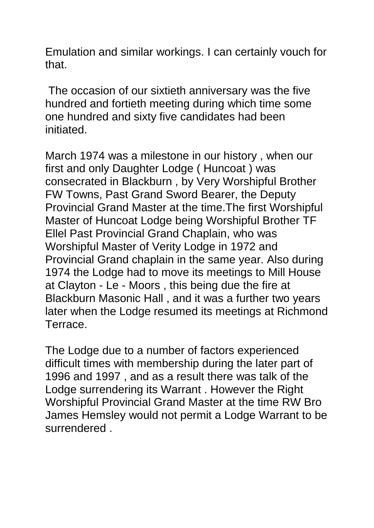Emulation and similar workings. I can certainly vouch for that.

The occasion of our sixtieth anniversary was the five hundred and fortieth meeting during which time some one hundred and sixty five candidates had been initiated.

March 1974 was a milestone in our history , when our first and only Daughter Lodge ( Huncoat ) was consecrated in Blackburn , by Very Worshipful Brother FW Towns, Past Grand Sword Bearer, the Deputy Provincial Grand Master at the time.The first Worshipful Master of Huncoat Lodge being Worshipful Brother TF Ellel Past Provincial Grand Chaplain, who was Worshipful Master of Verity Lodge in 1972 and Provincial Grand chaplain in the same year. Also during 1974 the Lodge had to move its meetings to Mill House at Clayton - Le - Moors , this being due the fire at Blackburn Masonic Hall , and it was a further two years later when the Lodge resumed its meetings at Richmond Terrace.

The Lodge due to a number of factors experienced difficult times with membership during the later part of 1996 and 1997 , and as a result there was talk of the Lodge surrendering its Warrant . However the Right Worshipful Provincial Grand Master at the time RW Bro James Hemsley would not permit a Lodge Warrant to be surrendered .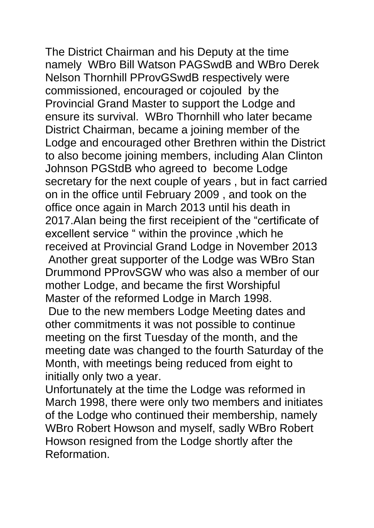The District Chairman and his Deputy at the time namely WBro Bill Watson PAGSwdB and WBro Derek Nelson Thornhill PProvGSwdB respectively were commissioned, encouraged or cojouled by the Provincial Grand Master to support the Lodge and ensure its survival. WBro Thornhill who later became District Chairman, became a joining member of the Lodge and encouraged other Brethren within the District to also become joining members, including Alan Clinton Johnson PGStdB who agreed to become Lodge secretary for the next couple of years , but in fact carried on in the office until February 2009 , and took on the office once again in March 2013 until his death in 2017.Alan being the first receipient of the "certificate of excellent service " within the province ,which he received at Provincial Grand Lodge in November 2013 Another great supporter of the Lodge was WBro Stan Drummond PProvSGW who was also a member of our mother Lodge, and became the first Worshipful Master of the reformed Lodge in March 1998. Due to the new members Lodge Meeting dates and

other commitments it was not possible to continue meeting on the first Tuesday of the month, and the meeting date was changed to the fourth Saturday of the Month, with meetings being reduced from eight to initially only two a year.

Unfortunately at the time the Lodge was reformed in March 1998, there were only two members and initiates of the Lodge who continued their membership, namely WBro Robert Howson and myself, sadly WBro Robert Howson resigned from the Lodge shortly after the Reformation.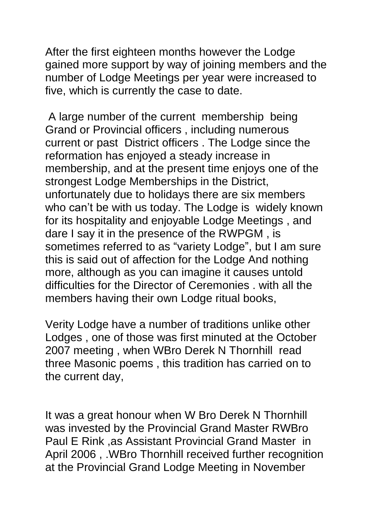After the first eighteen months however the Lodge gained more support by way of joining members and the number of Lodge Meetings per year were increased to five, which is currently the case to date.

A large number of the current membership being Grand or Provincial officers , including numerous current or past District officers . The Lodge since the reformation has enjoyed a steady increase in membership, and at the present time enjoys one of the strongest Lodge Memberships in the District, unfortunately due to holidays there are six members who can't be with us today. The Lodge is widely known for its hospitality and enjoyable Lodge Meetings , and dare I say it in the presence of the RWPGM , is sometimes referred to as "variety Lodge", but I am sure this is said out of affection for the Lodge And nothing more, although as you can imagine it causes untold difficulties for the Director of Ceremonies . with all the members having their own Lodge ritual books,

Verity Lodge have a number of traditions unlike other Lodges , one of those was first minuted at the October 2007 meeting , when WBro Derek N Thornhill read three Masonic poems , this tradition has carried on to the current day,

It was a great honour when W Bro Derek N Thornhill was invested by the Provincial Grand Master RWBro Paul E Rink ,as Assistant Provincial Grand Master in April 2006 , .WBro Thornhill received further recognition at the Provincial Grand Lodge Meeting in November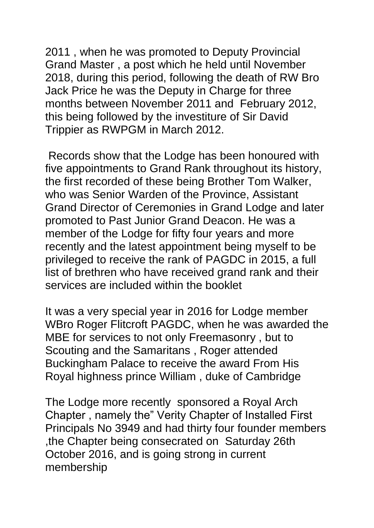2011 , when he was promoted to Deputy Provincial Grand Master , a post which he held until November 2018, during this period, following the death of RW Bro Jack Price he was the Deputy in Charge for three months between November 2011 and February 2012, this being followed by the investiture of Sir David Trippier as RWPGM in March 2012.

Records show that the Lodge has been honoured with five appointments to Grand Rank throughout its history, the first recorded of these being Brother Tom Walker, who was Senior Warden of the Province, Assistant Grand Director of Ceremonies in Grand Lodge and later promoted to Past Junior Grand Deacon. He was a member of the Lodge for fifty four years and more recently and the latest appointment being myself to be privileged to receive the rank of PAGDC in 2015, a full list of brethren who have received grand rank and their services are included within the booklet

It was a very special year in 2016 for Lodge member WBro Roger Flitcroft PAGDC, when he was awarded the MBE for services to not only Freemasonry , but to Scouting and the Samaritans , Roger attended Buckingham Palace to receive the award From His Royal highness prince William , duke of Cambridge

The Lodge more recently sponsored a Royal Arch Chapter , namely the" Verity Chapter of Installed First Principals No 3949 and had thirty four founder members ,the Chapter being consecrated on Saturday 26th October 2016, and is going strong in current membership